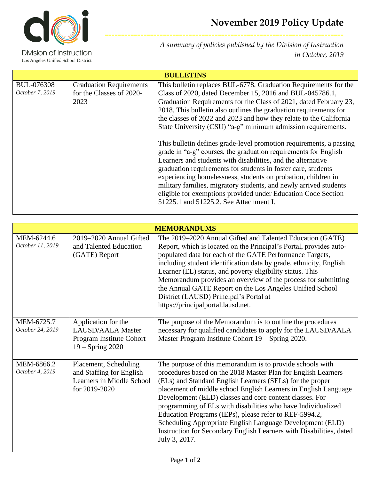

Division of Instruction Los Angeles Unified School District

*A summary of policies published by the Division of Instruction in October, 2019*

**--------------------------------------------------------------------------**

| <b>BULLETINS</b>                     |                                                                    |                                                                                                                                                                                                                                                                                                                                                                                                                                                                                                                           |  |  |
|--------------------------------------|--------------------------------------------------------------------|---------------------------------------------------------------------------------------------------------------------------------------------------------------------------------------------------------------------------------------------------------------------------------------------------------------------------------------------------------------------------------------------------------------------------------------------------------------------------------------------------------------------------|--|--|
| <b>BUL-076308</b><br>October 7, 2019 | <b>Graduation Requirements</b><br>for the Classes of 2020-<br>2023 | This bulletin replaces BUL-6778, Graduation Requirements for the<br>Class of 2020, dated December 15, 2016 and BUL-045786.1,<br>Graduation Requirements for the Class of 2021, dated February 23,<br>2018. This bulletin also outlines the graduation requirements for<br>the classes of 2022 and 2023 and how they relate to the California<br>State University (CSU) "a-g" minimum admission requirements.                                                                                                              |  |  |
|                                      |                                                                    | This bullet in defines grade-level promotion requirements, a passing<br>grade in "a-g" courses, the graduation requirements for English<br>Learners and students with disabilities, and the alternative<br>graduation requirements for students in foster care, students<br>experiencing homelessness, students on probation, children in<br>military families, migratory students, and newly arrived students<br>eligible for exemptions provided under Education Code Section<br>51225.1 and 51225.2. See Attachment I. |  |  |

| <b>MEMORANDUMS</b>             |                                                                                                 |                                                                                                                                                                                                                                                                                                                                                                                                                                                                                                                                                                                                      |  |  |
|--------------------------------|-------------------------------------------------------------------------------------------------|------------------------------------------------------------------------------------------------------------------------------------------------------------------------------------------------------------------------------------------------------------------------------------------------------------------------------------------------------------------------------------------------------------------------------------------------------------------------------------------------------------------------------------------------------------------------------------------------------|--|--|
| MEM-6244.6<br>October 11, 2019 | 2019–2020 Annual Gifted<br>and Talented Education<br>(GATE) Report                              | The 2019–2020 Annual Gifted and Talented Education (GATE)<br>Report, which is located on the Principal's Portal, provides auto-<br>populated data for each of the GATE Performance Targets,<br>including student identification data by grade, ethnicity, English<br>Learner (EL) status, and poverty eligibility status. This<br>Memorandum provides an overview of the process for submitting<br>the Annual GATE Report on the Los Angeles Unified School<br>District (LAUSD) Principal's Portal at<br>https://principalportal.lausd.net.                                                          |  |  |
| MEM-6725.7<br>October 24, 2019 | Application for the<br>LAUSD/AALA Master<br>Program Institute Cohort<br>$19 -$ Spring 2020      | The purpose of the Memorandum is to outline the procedures<br>necessary for qualified candidates to apply for the LAUSD/AALA<br>Master Program Institute Cohort 19 – Spring 2020.                                                                                                                                                                                                                                                                                                                                                                                                                    |  |  |
| MEM-6866.2<br>October 4, 2019  | Placement, Scheduling<br>and Staffing for English<br>Learners in Middle School<br>for 2019-2020 | The purpose of this memorandum is to provide schools with<br>procedures based on the 2018 Master Plan for English Learners<br>(ELs) and Standard English Learners (SELs) for the proper<br>placement of middle school English Learners in English Language<br>Development (ELD) classes and core content classes. For<br>programming of ELs with disabilities who have Individualized<br>Education Programs (IEPs), please refer to REF-5994.2,<br>Scheduling Appropriate English Language Development (ELD)<br>Instruction for Secondary English Learners with Disabilities, dated<br>July 3, 2017. |  |  |